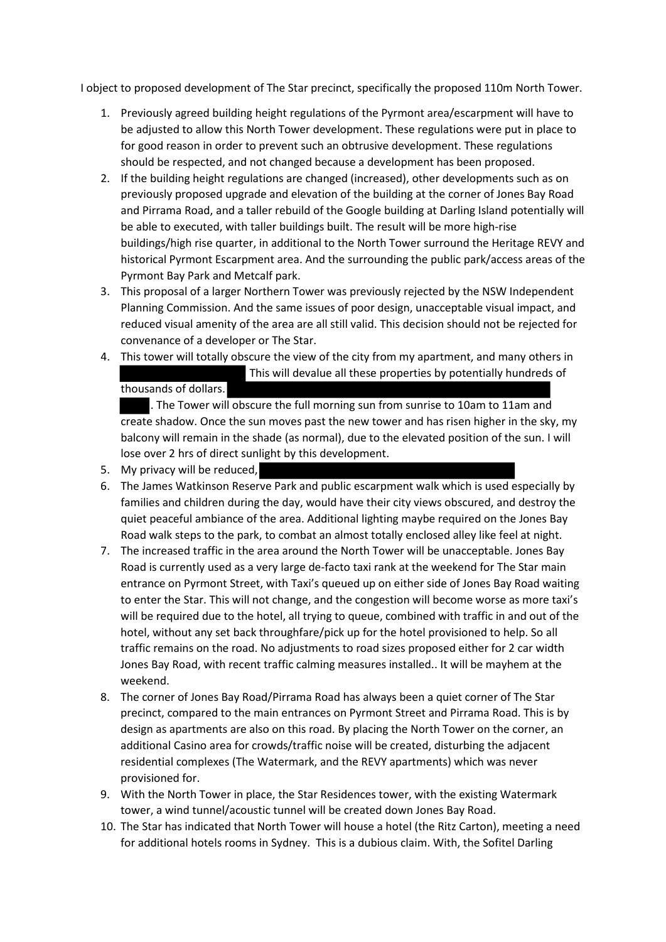I object to proposed development of The Star precinct, specifically the proposed 110m North Tower.

- 1. Previously agreed building height regulations of the Pyrmont area/escarpment will have to be adjusted to allow this North Tower development. These regulations were put in place to for good reason in order to prevent such an obtrusive development. These regulations should be respected, and not changed because a development has been proposed.
- 2. If the building height regulations are changed (increased), other developments such as on previously proposed upgrade and elevation of the building at the corner of Jones Bay Road and Pirrama Road, and a taller rebuild of the Google building at Darling Island potentially will be able to executed, with taller buildings built. The result will be more high-rise buildings/high rise quarter, in additional to the North Tower surround the Heritage REVY and historical Pyrmont Escarpment area. And the surrounding the public park/access areas of the Pyrmont Bay Park and Metcalf park.
- 3. This proposal of a larger Northern Tower was previously rejected by the NSW Independent Planning Commission. And the same issues of poor design, unacceptable visual impact, and reduced visual amenity of the area are all still valid. This decision should not be rejected for convenance of a developer or The Star.
- 4. This tower will totally obscure the view of the city from my apartment, and many others in This will devalue all these properties by potentially hundreds of thousands of dollars.

. The Tower will obscure the full morning sun from sunrise to 10am to 11am and create shadow. Once the sun moves past the new tower and has risen higher in the sky, my balcony will remain in the shade (as normal), due to the elevated position of the sun. I will lose over 2 hrs of direct sunlight by this development.

- 5. My privacy will be reduced,
- 6. The James Watkinson Reserve Park and public escarpment walk which is used especially by families and children during the day, would have their city views obscured, and destroy the quiet peaceful ambiance of the area. Additional lighting maybe required on the Jones Bay Road walk steps to the park, to combat an almost totally enclosed alley like feel at night.
- 7. The increased traffic in the area around the North Tower will be unacceptable. Jones Bay Road is currently used as a very large de-facto taxi rank at the weekend for The Star main entrance on Pyrmont Street, with Taxi's queued up on either side of Jones Bay Road waiting to enter the Star. This will not change, and the congestion will become worse as more taxi's will be required due to the hotel, all trying to queue, combined with traffic in and out of the hotel, without any set back throughfare/pick up for the hotel provisioned to help. So all traffic remains on the road. No adjustments to road sizes proposed either for 2 car width Jones Bay Road, with recent traffic calming measures installed.. It will be mayhem at the weekend.
- 8. The corner of Jones Bay Road/Pirrama Road has always been a quiet corner of The Star precinct, compared to the main entrances on Pyrmont Street and Pirrama Road. This is by design as apartments are also on this road. By placing the North Tower on the corner, an additional Casino area for crowds/traffic noise will be created, disturbing the adjacent residential complexes (The Watermark, and the REVY apartments) which was never provisioned for.
- 9. With the North Tower in place, the Star Residences tower, with the existing Watermark tower, a wind tunnel/acoustic tunnel will be created down Jones Bay Road.
- 10. The Star has indicated that North Tower will house a hotel (the Ritz Carton), meeting a need for additional hotels rooms in Sydney. This is a dubious claim. With, the Sofitel Darling